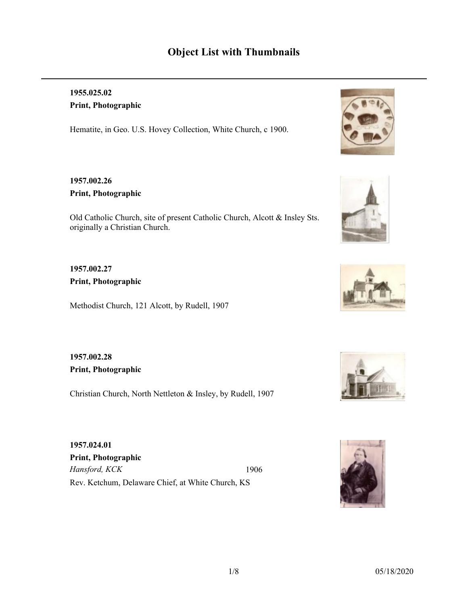# **Object List with Thumbnails**

## **1955.025.02 Print, Photographic**

Hematite, in Geo. U.S. Hovey Collection, White Church, c 1900.

### **1957.002.26 Print, Photographic**

Old Catholic Church, site of present Catholic Church, Alcott & Insley Sts. originally a Christian Church.

### **1957.002.27 Print, Photographic**

Methodist Church, 121 Alcott, by Rudell, 1907

**1957.002.28 Print, Photographic**

Christian Church, North Nettleton & Insley, by Rudell, 1907

*Hansford, KCK* Rev. Ketchum, Delaware Chief, at White Church, KS 1906 **1957.024.01 Print, Photographic**









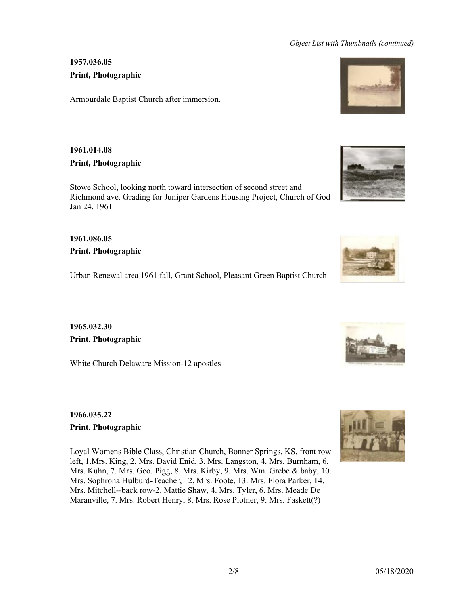### **1957.036.05 Print, Photographic**

Armourdale Baptist Church after immersion.

### **1961.014.08 Print, Photographic**

Stowe School, looking north toward intersection of second street and Richmond ave. Grading for Juniper Gardens Housing Project, Church of God Jan 24, 1961

**1961.086.05 Print, Photographic**

Urban Renewal area 1961 fall, Grant School, Pleasant Green Baptist Church

**1965.032.30 Print, Photographic**

White Church Delaware Mission-12 apostles

**1966.035.22 Print, Photographic**

Loyal Womens Bible Class, Christian Church, Bonner Springs, KS, front row left, 1.Mrs. King, 2. Mrs. David Enid, 3. Mrs. Langston, 4. Mrs. Burnham, 6. Mrs. Kuhn, 7. Mrs. Geo. Pigg, 8. Mrs. Kirby, 9. Mrs. Wm. Grebe & baby, 10. Mrs. Sophrona Hulburd-Teacher, 12, Mrs. Foote, 13. Mrs. Flora Parker, 14. Mrs. Mitchell--back row-2. Mattie Shaw, 4. Mrs. Tyler, 6. Mrs. Meade De Maranville, 7. Mrs. Robert Henry, 8. Mrs. Rose Plotner, 9. Mrs. Faskett(?)







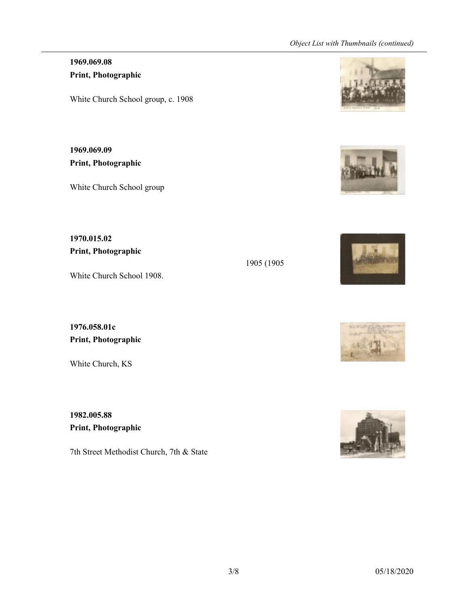## **1969.069.08 Print, Photographic**

White Church School group, c. 1908

**1969.069.09 Print, Photographic**

White Church School group

**1970.015.02 Print, Photographic**

White Church School 1908.

**1976.058.01c Print, Photographic**

White Church, KS

**1982.005.88 Print, Photographic**

7th Street Methodist Church, 7th & State







1905 (1905



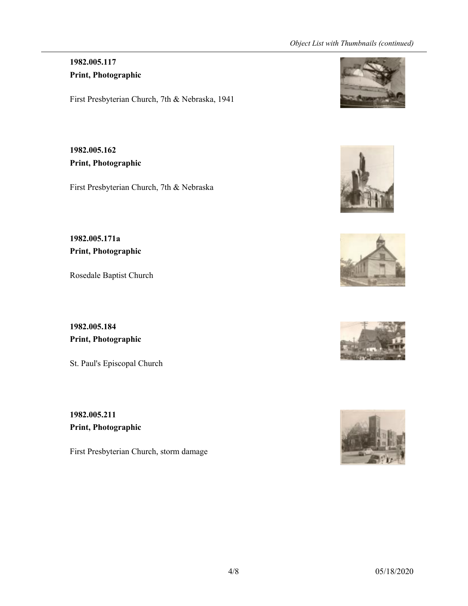### **1982.005.117 Print, Photographic**

First Presbyterian Church, 7th & Nebraska, 1941

**1982.005.162 Print, Photographic**

First Presbyterian Church, 7th & Nebraska

**1982.005.171a Print, Photographic**

Rosedale Baptist Church

**1982.005.184 Print, Photographic**

St. Paul's Episcopal Church

**1982.005.211 Print, Photographic**

First Presbyterian Church, storm damage









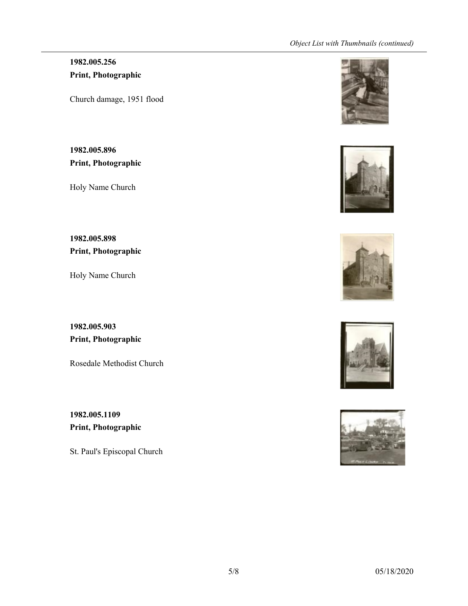## **1982.005.256 Print, Photographic**

Church damage, 1951 flood

**1982.005.896 Print, Photographic**

Holy Name Church

**1982.005.898 Print, Photographic**

Holy Name Church

**1982.005.903 Print, Photographic**

Rosedale Methodist Church

**1982.005.1109 Print, Photographic**

St. Paul's Episcopal Church









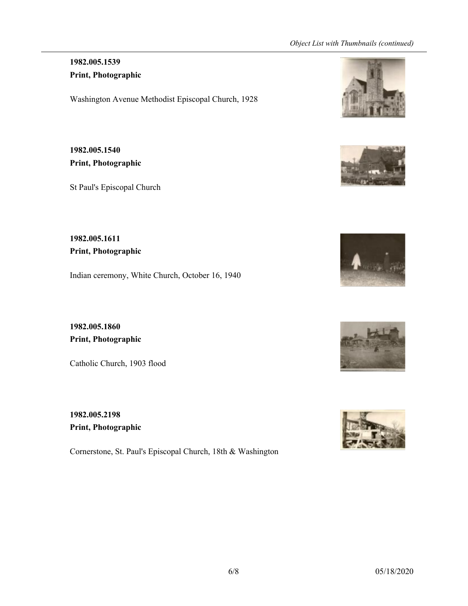## **1982.005.1539 Print, Photographic**

Washington Avenue Methodist Episcopal Church, 1928

**1982.005.1540 Print, Photographic**

St Paul's Episcopal Church

**1982.005.1611 Print, Photographic**

Indian ceremony, White Church, October 16, 1940

**1982.005.1860 Print, Photographic**

Catholic Church, 1903 flood

**1982.005.2198 Print, Photographic**

Cornerstone, St. Paul's Episcopal Church, 18th & Washington









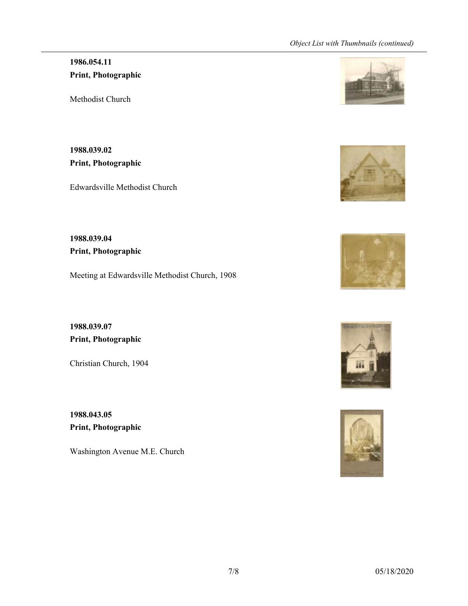## **1986.054.11 Print, Photographic**

Methodist Church

**1988.039.02 Print, Photographic**

Edwardsville Methodist Church

**1988.039.04 Print, Photographic**

Meeting at Edwardsville Methodist Church, 1908

**1988.039.07 Print, Photographic**

Christian Church, 1904

**1988.043.05 Print, Photographic**

Washington Avenue M.E. Church